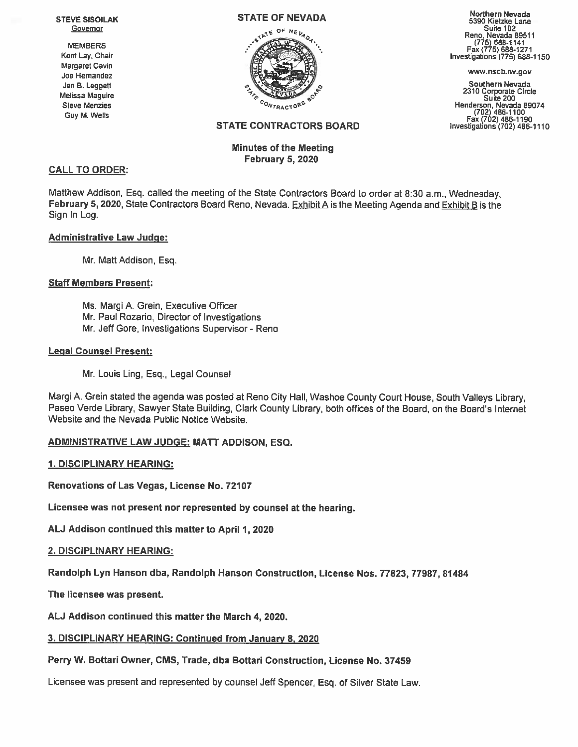Jan B. Leggett Melissa Maguire



# Minutes of the Meeting February 5, 2020

eTAI Northern Nevada **STATE OF NEVADA** Northern Nevada Northern Nevada Nevada S390 Kietzke Lane VE SISULAR<br>Governor Suite 102 Reno, Nevada 89511<br>MEMBERS (775) 688-1141 Fax (775) 688-1271

**Southern Nevada** Steve Melissa Maguire<br>Steve Menzies Steve Menzies<br>Gov<sub>r Ract</sub>or<sup>s School Steve Menzies Suite 200<br>Give Menderson, Nevada 89074<br>Give Menderson, Nevada 89074</sup> Guy M. Wells (702) 486-1100<br>Fax (702) 486-1190<br>STATE CONTRACTORS BOARD Investigations (702) 486-1110

## CALL TO ORDER:

Matthew Addison, Esq. called the meeting of the State Contractors Board to order at 8:30 a.m., Wednesday, February 5, 2020, State Contractors Board Reno, Nevada.  $Exhibit A$  is the Meeting Agenda and Exhibit B is the Sign In Log.

## Administrative Law Judge:

Mr. Matt Addison, Esq.

## Staff Members Present:

Ms. Margi A. Grein, Executive Officer Mr. Paul Rozario, Director of Investigations Mr. Jeff Gore, Investigations Supervisor - Reno

## Legal Counsel Present:

Mr. Louis Ling, Esq., Legal Counsel

Margi A, Grein stated the agenda was posted at Reno City Hall. Washoe County Court House, South Valleys Library, Paseo Verde Library, Sawyer State Building, Clark County Library, both offices of the Board, on the Board's Internet Website and the Nevada Public Notice Website.

# ADMINISTRATIVE LAW JUDGE: MATT ADDISON, ESQ.

## 1. DISCIPLINARY HEARING:

Renovations of Las Vegas, License No. 72107

Licensee was not presen<sup>t</sup> nor represented by counsel at the hearing.

AU Addison continued this matter to April 1,2020

# 2. DISCIPLINARY HEARING:

Randolph Lyn Hanson dba, Randolph Hanson Construction, License Nos. 77823, 77987, 81484

The licensee was present.

AU Addison continued this matter the March 4, 2020.

# 3. DISCIPLINARY HEARING: Continued from January 8, <sup>2020</sup>

# Perry W. Bottari Owner, CMS, Trade, dba Bottari Construction, License No. 37459

Licensee was presen<sup>t</sup> and represented by counsel Jeff Spencer, Esq. of Silver State Law.